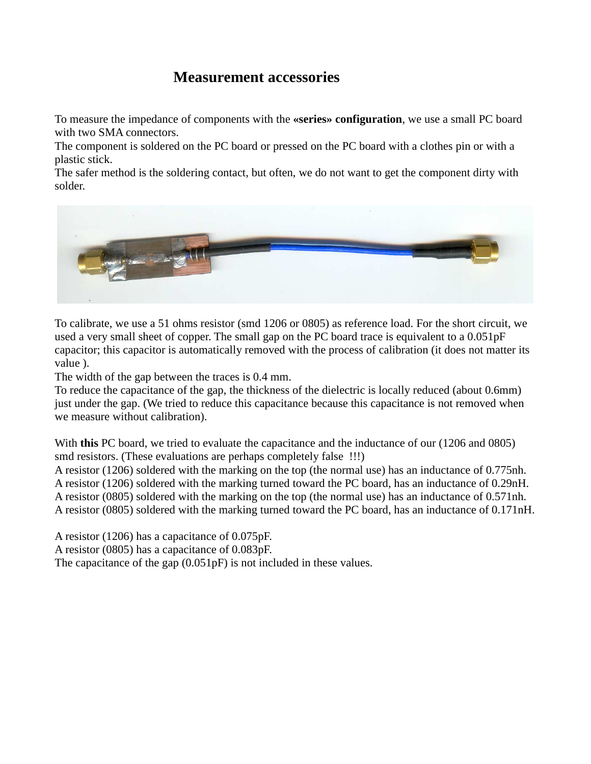## **Measurement accessories**

To measure the impedance of components with the **«series» configuration**, we use a small PC board with two SMA connectors.

The component is soldered on the PC board or pressed on the PC board with a clothes pin or with a plastic stick.

The safer method is the soldering contact, but often, we do not want to get the component dirty with solder.



To calibrate, we use a 51 ohms resistor (smd 1206 or 0805) as reference load. For the short circuit, we used a very small sheet of copper. The small gap on the PC board trace is equivalent to a 0.051pF capacitor; this capacitor is automatically removed with the process of calibration (it does not matter its value ).

The width of the gap between the traces is 0.4 mm.

To reduce the capacitance of the gap, the thickness of the dielectric is locally reduced (about 0.6mm) just under the gap. (We tried to reduce this capacitance because this capacitance is not removed when we measure without calibration).

With **this** PC board, we tried to evaluate the capacitance and the inductance of our (1206 and 0805) smd resistors. (These evaluations are perhaps completely false !!!)

A resistor (1206) soldered with the marking on the top (the normal use) has an inductance of 0.775nh. A resistor (1206) soldered with the marking turned toward the PC board, has an inductance of 0.29nH. A resistor (0805) soldered with the marking on the top (the normal use) has an inductance of 0.571nh. A resistor (0805) soldered with the marking turned toward the PC board, has an inductance of 0.171nH.

A resistor (1206) has a capacitance of 0.075pF.

A resistor (0805) has a capacitance of 0.083pF.

The capacitance of the gap (0.051pF) is not included in these values.